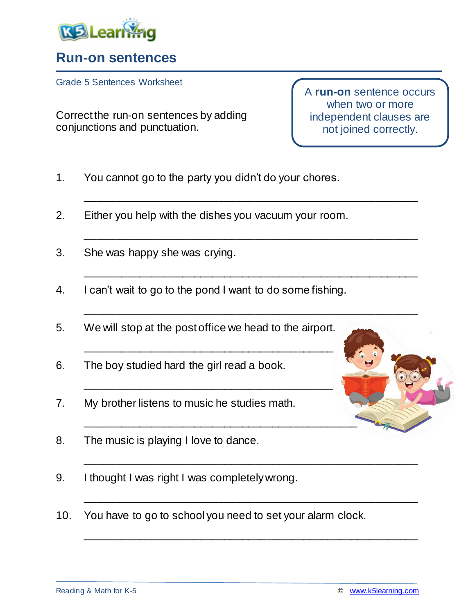

## **Run-on sentences**

Grade 5 Sentences Worksheet

Correct the run-on sentences by adding conjunctions and punctuation.

A **run-on** sentence occurs when two or more independent clauses are not joined correctly.

- 1. You cannot go to the party you didn't do your chores.
- 2. Either you help with the dishes you vacuum your room.

\_\_\_\_\_\_\_\_\_\_\_\_\_\_\_\_\_\_\_\_\_\_\_\_\_\_\_\_\_\_\_\_\_\_\_\_\_\_\_\_\_\_\_\_\_\_\_\_\_\_\_\_\_\_\_

\_\_\_\_\_\_\_\_\_\_\_\_\_\_\_\_\_\_\_\_\_\_\_\_\_\_\_\_\_\_\_\_\_\_\_\_\_\_\_\_\_\_\_\_\_\_\_\_\_\_\_\_\_\_\_

\_\_\_\_\_\_\_\_\_\_\_\_\_\_\_\_\_\_\_\_\_\_\_\_\_\_\_\_\_\_\_\_\_\_\_\_\_\_\_\_\_\_\_\_\_\_\_\_\_\_\_\_\_\_\_

\_\_\_\_\_\_\_\_\_\_\_\_\_\_\_\_\_\_\_\_\_\_\_\_\_\_\_\_\_\_\_\_\_\_\_\_\_\_\_\_\_\_\_\_\_\_\_\_\_\_\_\_\_\_\_

\_\_\_\_\_\_\_\_\_\_\_\_\_\_\_\_\_\_\_\_\_\_\_\_\_\_\_\_\_\_\_\_\_\_\_\_\_\_\_\_\_\_\_\_\_\_\_\_\_\_\_\_\_\_\_

\_\_\_\_\_\_\_\_\_\_\_\_\_\_\_\_\_\_\_\_\_\_\_\_\_\_\_\_\_\_\_\_\_\_\_\_\_\_\_\_\_\_\_\_\_\_\_\_\_\_\_\_\_\_\_

\_\_\_\_\_\_\_\_\_\_\_\_\_\_\_\_\_\_\_\_\_\_\_\_\_\_\_\_\_\_\_\_\_\_\_\_\_\_\_\_\_\_\_\_\_\_\_\_\_\_\_\_\_\_\_

- 3. She was happy she was crying.
- 4. I can't wait to go to the pond I want to do some fishing.
- 5. We will stop at the post office we head to the airport.

\_\_\_\_\_\_\_\_\_\_\_\_\_\_\_\_\_\_\_\_\_\_\_\_\_\_\_\_\_\_\_\_\_\_\_\_\_\_\_\_\_

\_\_\_\_\_\_\_\_\_\_\_\_\_\_\_\_\_\_\_\_\_\_\_\_\_\_\_\_\_\_\_\_\_\_\_\_\_\_\_\_\_

- 6. The boy studied hard the girl read a book.
- 7. My brother listens to music he studies math.
- 8. The music is playing I love to dance.
- 9. I thought I was right I was completely wrong.
- 10. You have to go to school you need to set your alarm clock.